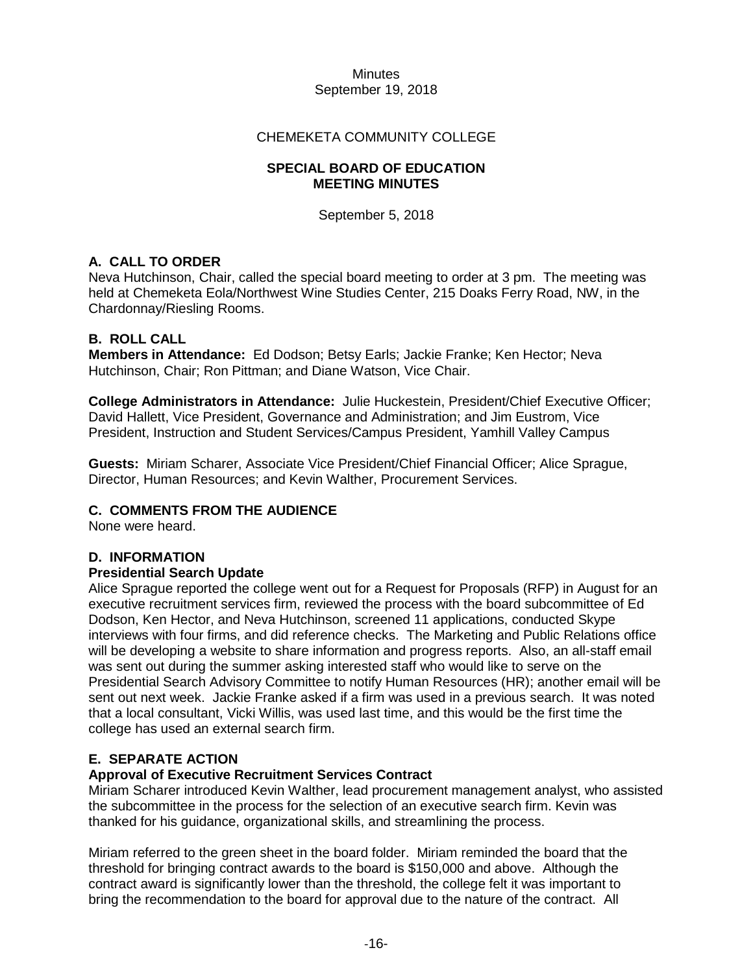#### Minutes September 19, 2018

## CHEMEKETA COMMUNITY COLLEGE

#### **SPECIAL BOARD OF EDUCATION MEETING MINUTES**

September 5, 2018

# **A. CALL TO ORDER**

Neva Hutchinson, Chair, called the special board meeting to order at 3 pm. The meeting was held at Chemeketa Eola/Northwest Wine Studies Center, 215 Doaks Ferry Road, NW, in the Chardonnay/Riesling Rooms.

# **B. ROLL CALL**

**Members in Attendance:** Ed Dodson; Betsy Earls; Jackie Franke; Ken Hector; Neva Hutchinson, Chair; Ron Pittman; and Diane Watson, Vice Chair.

**College Administrators in Attendance:** Julie Huckestein, President/Chief Executive Officer; David Hallett, Vice President, Governance and Administration; and Jim Eustrom, Vice President, Instruction and Student Services/Campus President, Yamhill Valley Campus

**Guests:** Miriam Scharer, Associate Vice President/Chief Financial Officer; Alice Sprague, Director, Human Resources; and Kevin Walther, Procurement Services.

## **C. COMMENTS FROM THE AUDIENCE**

None were heard.

## **D. INFORMATION**

## **Presidential Search Update**

Alice Sprague reported the college went out for a Request for Proposals (RFP) in August for an executive recruitment services firm, reviewed the process with the board subcommittee of Ed Dodson, Ken Hector, and Neva Hutchinson, screened 11 applications, conducted Skype interviews with four firms, and did reference checks. The Marketing and Public Relations office will be developing a website to share information and progress reports. Also, an all-staff email was sent out during the summer asking interested staff who would like to serve on the Presidential Search Advisory Committee to notify Human Resources (HR); another email will be sent out next week. Jackie Franke asked if a firm was used in a previous search. It was noted that a local consultant, Vicki Willis, was used last time, and this would be the first time the college has used an external search firm.

# **E. SEPARATE ACTION**

## **Approval of Executive Recruitment Services Contract**

Miriam Scharer introduced Kevin Walther, lead procurement management analyst, who assisted the subcommittee in the process for the selection of an executive search firm. Kevin was thanked for his guidance, organizational skills, and streamlining the process.

Miriam referred to the green sheet in the board folder. Miriam reminded the board that the threshold for bringing contract awards to the board is \$150,000 and above. Although the contract award is significantly lower than the threshold, the college felt it was important to bring the recommendation to the board for approval due to the nature of the contract. All